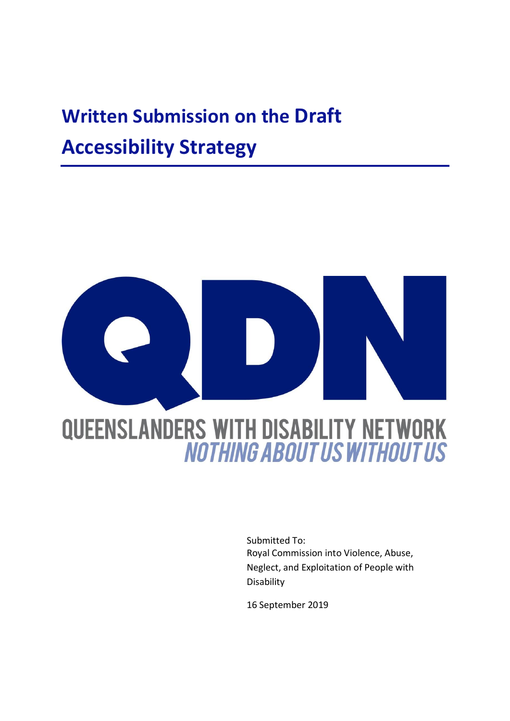## **Written Submission on the Draft Accessibility Strategy**



Submitted To: Royal Commission into Violence, Abuse, Neglect, and Exploitation of People with Disability

16 September 2019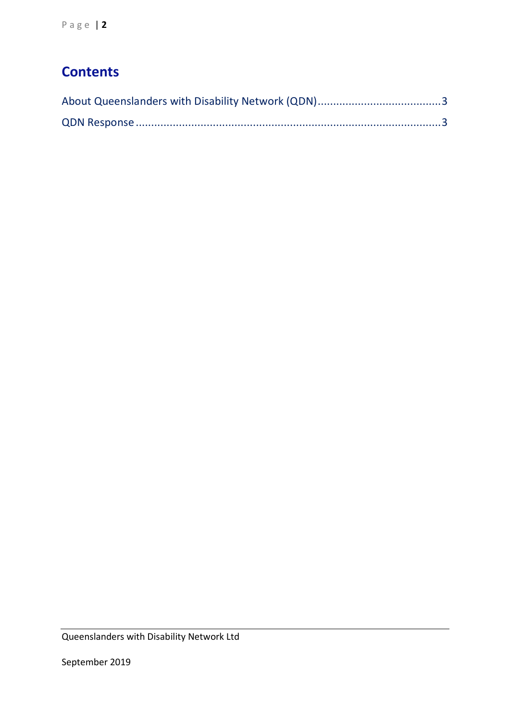## **Contents**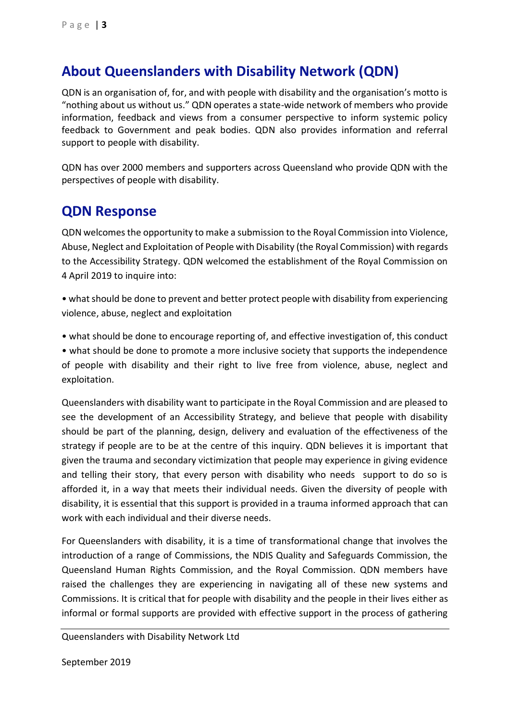## <span id="page-2-0"></span>**About Queenslanders with Disability Network (QDN)**

QDN is an organisation of, for, and with people with disability and the organisation's motto is "nothing about us without us." QDN operates a state-wide network of members who provide information, feedback and views from a consumer perspective to inform systemic policy feedback to Government and peak bodies. QDN also provides information and referral support to people with disability.

QDN has over 2000 members and supporters across Queensland who provide QDN with the perspectives of people with disability.

## <span id="page-2-1"></span>**QDN Response**

QDN welcomes the opportunity to make a submission to the Royal Commission into Violence, Abuse, Neglect and Exploitation of People with Disability (the Royal Commission) with regards to the Accessibility Strategy. QDN welcomed the establishment of the Royal Commission on 4 April 2019 to inquire into:

- what should be done to prevent and better protect people with disability from experiencing violence, abuse, neglect and exploitation
- what should be done to encourage reporting of, and effective investigation of, this conduct

• what should be done to promote a more inclusive society that supports the independence of people with disability and their right to live free from violence, abuse, neglect and exploitation.

Queenslanders with disability want to participate in the Royal Commission and are pleased to see the development of an Accessibility Strategy, and believe that people with disability should be part of the planning, design, delivery and evaluation of the effectiveness of the strategy if people are to be at the centre of this inquiry. QDN believes it is important that given the trauma and secondary victimization that people may experience in giving evidence and telling their story, that every person with disability who needs support to do so is afforded it, in a way that meets their individual needs. Given the diversity of people with disability, it is essential that this support is provided in a trauma informed approach that can work with each individual and their diverse needs.

For Queenslanders with disability, it is a time of transformational change that involves the introduction of a range of Commissions, the NDIS Quality and Safeguards Commission, the Queensland Human Rights Commission, and the Royal Commission. QDN members have raised the challenges they are experiencing in navigating all of these new systems and Commissions. It is critical that for people with disability and the people in their lives either as informal or formal supports are provided with effective support in the process of gathering

Queenslanders with Disability Network Ltd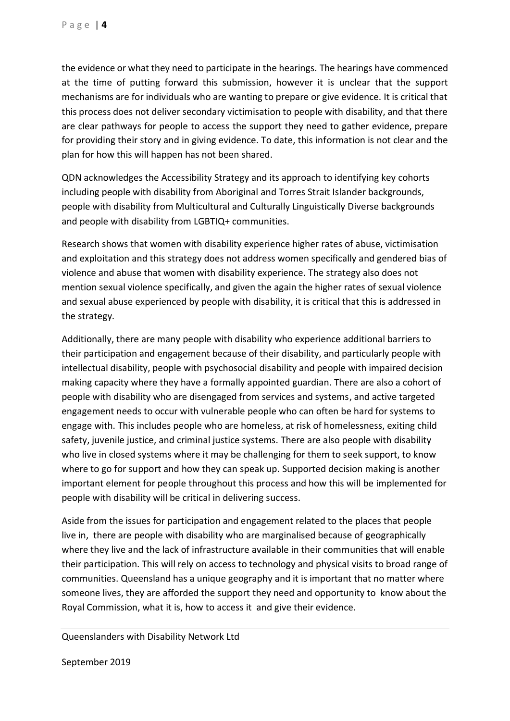the evidence or what they need to participate in the hearings. The hearings have commenced at the time of putting forward this submission, however it is unclear that the support mechanisms are for individuals who are wanting to prepare or give evidence. It is critical that this process does not deliver secondary victimisation to people with disability, and that there are clear pathways for people to access the support they need to gather evidence, prepare for providing their story and in giving evidence. To date, this information is not clear and the plan for how this will happen has not been shared.

QDN acknowledges the Accessibility Strategy and its approach to identifying key cohorts including people with disability from Aboriginal and Torres Strait Islander backgrounds, people with disability from Multicultural and Culturally Linguistically Diverse backgrounds and people with disability from LGBTIQ+ communities.

Research shows that women with disability experience higher rates of abuse, victimisation and exploitation and this strategy does not address women specifically and gendered bias of violence and abuse that women with disability experience. The strategy also does not mention sexual violence specifically, and given the again the higher rates of sexual violence and sexual abuse experienced by people with disability, it is critical that this is addressed in the strategy.

Additionally, there are many people with disability who experience additional barriers to their participation and engagement because of their disability, and particularly people with intellectual disability, people with psychosocial disability and people with impaired decision making capacity where they have a formally appointed guardian. There are also a cohort of people with disability who are disengaged from services and systems, and active targeted engagement needs to occur with vulnerable people who can often be hard for systems to engage with. This includes people who are homeless, at risk of homelessness, exiting child safety, juvenile justice, and criminal justice systems. There are also people with disability who live in closed systems where it may be challenging for them to seek support, to know where to go for support and how they can speak up. Supported decision making is another important element for people throughout this process and how this will be implemented for people with disability will be critical in delivering success.

Aside from the issues for participation and engagement related to the places that people live in, there are people with disability who are marginalised because of geographically where they live and the lack of infrastructure available in their communities that will enable their participation. This will rely on access to technology and physical visits to broad range of communities. Queensland has a unique geography and it is important that no matter where someone lives, they are afforded the support they need and opportunity to know about the Royal Commission, what it is, how to access it and give their evidence.

Queenslanders with Disability Network Ltd

September 2019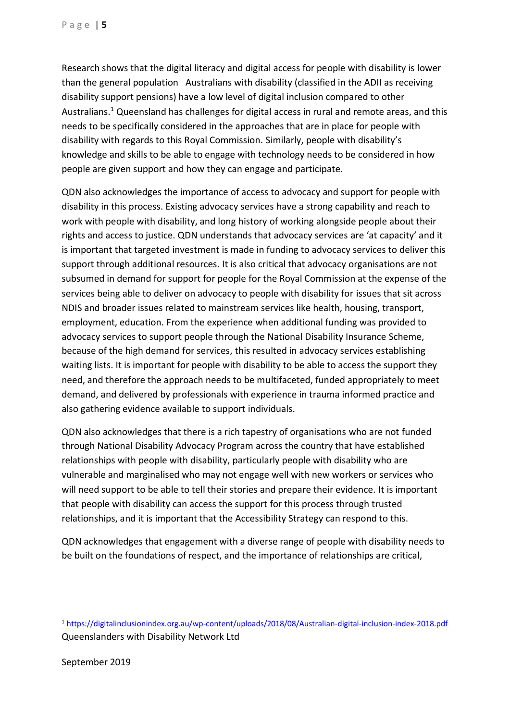Research shows that the digital literacy and digital access for people with disability is lower than the general population Australians with disability (classified in the ADII as receiving disability support pensions) have a low level of digital inclusion compared to other Australians.<sup>1</sup> Queensland has challenges for digital access in rural and remote areas, and this needs to be specifically considered in the approaches that are in place for people with disability with regards to this Royal Commission. Similarly, people with disability's knowledge and skills to be able to engage with technology needs to be considered in how people are given support and how they can engage and participate.

QDN also acknowledges the importance of access to advocacy and support for people with disability in this process. Existing advocacy services have a strong capability and reach to work with people with disability, and long history of working alongside people about their rights and access to justice. QDN understands that advocacy services are 'at capacity' and it is important that targeted investment is made in funding to advocacy services to deliver this support through additional resources. It is also critical that advocacy organisations are not subsumed in demand for support for people for the Royal Commission at the expense of the services being able to deliver on advocacy to people with disability for issues that sit across NDIS and broader issues related to mainstream services like health, housing, transport, employment, education. From the experience when additional funding was provided to advocacy services to support people through the National Disability Insurance Scheme, because of the high demand for services, this resulted in advocacy services establishing waiting lists. It is important for people with disability to be able to access the support they need, and therefore the approach needs to be multifaceted, funded appropriately to meet demand, and delivered by professionals with experience in trauma informed practice and also gathering evidence available to support individuals.

QDN also acknowledges that there is a rich tapestry of organisations who are not funded through National Disability Advocacy Program across the country that have established relationships with people with disability, particularly people with disability who are vulnerable and marginalised who may not engage well with new workers or services who will need support to be able to tell their stories and prepare their evidence. It is important that people with disability can access the support for this process through trusted relationships, and it is important that the Accessibility Strategy can respond to this.

QDN acknowledges that engagement with a diverse range of people with disability needs to be built on the foundations of respect, and the importance of relationships are critical,

-

Queenslanders with Disability Network Ltd <sup>1</sup> <https://digitalinclusionindex.org.au/wp-content/uploads/2018/08/Australian-digital-inclusion-index-2018.pdf>